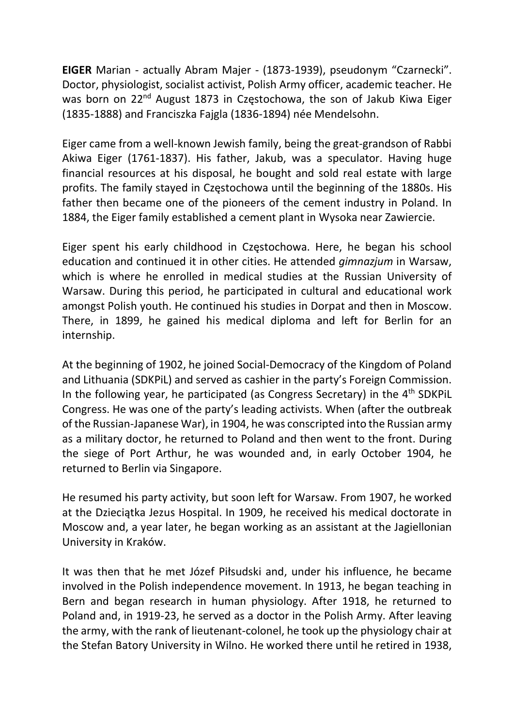EIGER Marian - actually Abram Majer - (1873-1939), pseudonym "Czarnecki". Doctor, physiologist, socialist activist, Polish Army officer, academic teacher. He was born on 22<sup>nd</sup> August 1873 in Czestochowa, the son of Jakub Kiwa Eiger (1835-1888) and Franciszka Fajgla (1836-1894) née Mendelsohn.

Eiger came from a well-known Jewish family, being the great-grandson of Rabbi Akiwa Eiger (1761-1837). His father, Jakub, was a speculator. Having huge financial resources at his disposal, he bought and sold real estate with large profits. The family stayed in Częstochowa until the beginning of the 1880s. His father then became one of the pioneers of the cement industry in Poland. In 1884, the Eiger family established a cement plant in Wysoka near Zawiercie.

Eiger spent his early childhood in Częstochowa. Here, he began his school education and continued it in other cities. He attended *gimnazjum* in Warsaw, which is where he enrolled in medical studies at the Russian University of Warsaw. During this period, he participated in cultural and educational work amongst Polish youth. He continued his studies in Dorpat and then in Moscow. There, in 1899, he gained his medical diploma and left for Berlin for an internship.

At the beginning of 1902, he joined Social-Democracy of the Kingdom of Poland and Lithuania (SDKPiL) and served as cashier in the party's Foreign Commission. In the following year, he participated (as Congress Secretary) in the  $4<sup>th</sup>$  SDKPiL Congress. He was one of the party's leading activists. When (after the outbreak of the Russian-Japanese War), in 1904, he was conscripted into the Russian army as a military doctor, he returned to Poland and then went to the front. During the siege of Port Arthur, he was wounded and, in early October 1904, he returned to Berlin via Singapore.

He resumed his party activity, but soon left for Warsaw. From 1907, he worked at the Dzieciątka Jezus Hospital. In 1909, he received his medical doctorate in Moscow and, a year later, he began working as an assistant at the Jagiellonian University in Kraków.

It was then that he met Józef Piłsudski and, under his influence, he became involved in the Polish independence movement. In 1913, he began teaching in Bern and began research in human physiology. After 1918, he returned to Poland and, in 1919-23, he served as a doctor in the Polish Army. After leaving the army, with the rank of lieutenant-colonel, he took up the physiology chair at the Stefan Batory University in Wilno. He worked there until he retired in 1938,